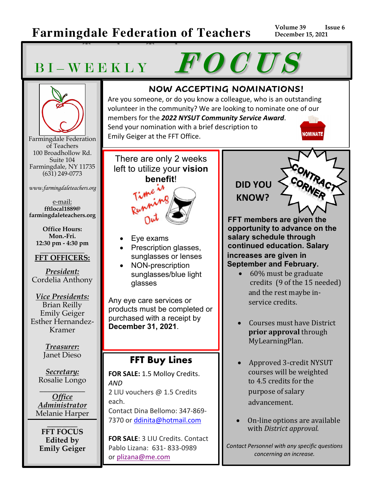### **Farmingdale Federation of Teachers**

**Teaschers Teachers**

**Volume 39 Issue 6 December 15, 2021**

# BI-WEEKLY FOCUS



Farmingdale Federation of Teachers 100 Broadhollow Rd. Suite 104 Farmingdale, NY 11735 (631) 249-0773

*www.farmingdaleteachers.org*

e-mail: **fftlocal1889@ farmingdaleteachers.org**

**Office Hours: Mon.-Fri. 12:30 pm - 4:30 pm**

#### **\_\_\_\_\_\_\_\_\_\_\_\_\_\_ FFT OFFICERS:**

*President:* Cordelia Anthony

*Vice Presidents:* Brian Reilly Emily Geiger Esther Hernandez-Kramer

> *Treasurer:* Janet Dieso

*Secretary:* Rosalie Longo

\_\_\_\_\_\_\_\_\_\_\_\_ *Office Administrator* Melanie Harper

 $\overline{\phantom{a}}$  , where  $\overline{\phantom{a}}$ **FFT FOCUS Edited by Emily Geiger**

#### **NOW ACCEPTING NOMINATIONS!**

Are you someone, or do you know a colleague, who is an outstanding volunteer in the community? We are looking to nominate one of our members for the *2022 NYSUT Community Service Award*. Send your nomination with a brief description to **NOMINATE** Emily Geiger at the FFT Office.

There are only 2 weeks left to utilize your **vision benefit**!



- Eye exams
- Prescription glasses, sunglasses or lenses
- NON-prescription sunglasses/blue light glasses

Any eye care services or products must be completed or purchased with a receipt by **December 31, 2021**.

#### **FFT Buy Lines**

**FOR SALE:** 1.5 Molloy Credits. *AND*  2 LIU vouchers @ 1.5 Credits each. Contact Dina Bellomo: 347-869- 7370 or ddinita@hotmail.com

**FOR SALE**: 3 LIU Credits. Contact Pablo Lizana: 631- 833-0989 or plizana@me.com

## **DID YOU KNOW?**

**FFT members are given the opportunity to advance on the salary schedule through continued education. Salary increases are given in September and February.**

- $\bullet$  60% must be graduate credits  $(9 \text{ of the } 15 \text{ needed})$ and the rest maybe inservice credits.
- Courses must have District **prior approval** through MyLearningPlan.
- Approved 3-credit NYSUT courses will be weighted to 4.5 credits for the purpose of salary advancement.
- On-line options are available with *District approval.*

*Contact Personnel with any specific questions concerning an increase.*